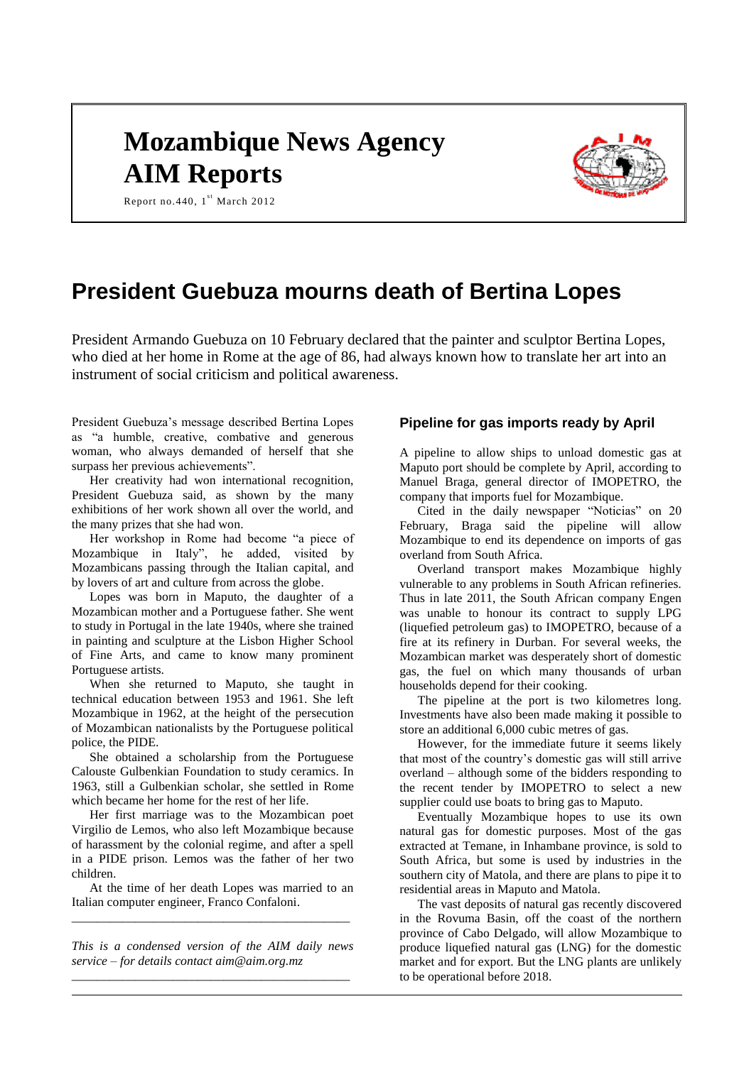# **Mozambique News Agency AIM Reports**



Report no. 440,  $1^{st}$  March 2012

## **President Guebuza mourns death of Bertina Lopes**

President Armando Guebuza on 10 February declared that the painter and sculptor Bertina Lopes, who died at her home in Rome at the age of 86, had always known how to translate her art into an instrument of social criticism and political awareness.

President Guebuza's message described Bertina Lopes as "a humble, creative, combative and generous woman, who always demanded of herself that she surpass her previous achievements".

Her creativity had won international recognition, President Guebuza said, as shown by the many exhibitions of her work shown all over the world, and the many prizes that she had won.

Her workshop in Rome had become "a piece of Mozambique in Italy", he added, visited by Mozambicans passing through the Italian capital, and by lovers of art and culture from across the globe.

Lopes was born in Maputo, the daughter of a Mozambican mother and a Portuguese father. She went to study in Portugal in the late 1940s, where she trained in painting and sculpture at the Lisbon Higher School of Fine Arts, and came to know many prominent Portuguese artists.

When she returned to Maputo, she taught in technical education between 1953 and 1961. She left Mozambique in 1962, at the height of the persecution of Mozambican nationalists by the Portuguese political police, the PIDE.

She obtained a scholarship from the Portuguese Calouste Gulbenkian Foundation to study ceramics. In 1963, still a Gulbenkian scholar, she settled in Rome which became her home for the rest of her life.

Her first marriage was to the Mozambican poet Virgilio de Lemos, who also left Mozambique because of harassment by the colonial regime, and after a spell in a PIDE prison. Lemos was the father of her two children.

At the time of her death Lopes was married to an Italian computer engineer, Franco Confaloni. *\_\_\_\_\_\_\_\_\_\_\_\_\_\_\_\_\_\_\_\_\_\_\_\_\_\_\_\_\_\_\_\_\_\_\_\_\_\_\_\_\_\_\_\_*

*This is a condensed version of the AIM daily news service – for details contact [aim@aim.org.mz](mailto:aim@aim.org.mz) \_\_\_\_\_\_\_\_\_\_\_\_\_\_\_\_\_\_\_\_\_\_\_\_\_\_\_\_\_\_\_\_\_\_\_\_\_\_\_\_\_\_\_\_*

### **Pipeline for gas imports ready by April**

A pipeline to allow ships to unload domestic gas at Maputo port should be complete by April, according to Manuel Braga, general director of IMOPETRO, the company that imports fuel for Mozambique.

Cited in the daily newspaper "Noticias" on 20 February, Braga said the pipeline will allow Mozambique to end its dependence on imports of gas overland from South Africa.

Overland transport makes Mozambique highly vulnerable to any problems in South African refineries. Thus in late 2011, the South African company Engen was unable to honour its contract to supply LPG (liquefied petroleum gas) to IMOPETRO, because of a fire at its refinery in Durban. For several weeks, the Mozambican market was desperately short of domestic gas, the fuel on which many thousands of urban households depend for their cooking.

The pipeline at the port is two kilometres long. Investments have also been made making it possible to store an additional 6,000 cubic metres of gas.

However, for the immediate future it seems likely that most of the country's domestic gas will still arrive overland – although some of the bidders responding to the recent tender by IMOPETRO to select a new supplier could use boats to bring gas to Maputo.

Eventually Mozambique hopes to use its own natural gas for domestic purposes. Most of the gas extracted at Temane, in Inhambane province, is sold to South Africa, but some is used by industries in the southern city of Matola, and there are plans to pipe it to residential areas in Maputo and Matola.

The vast deposits of natural gas recently discovered in the Rovuma Basin, off the coast of the northern province of Cabo Delgado, will allow Mozambique to produce liquefied natural gas (LNG) for the domestic market and for export. But the LNG plants are unlikely to be operational before 2018.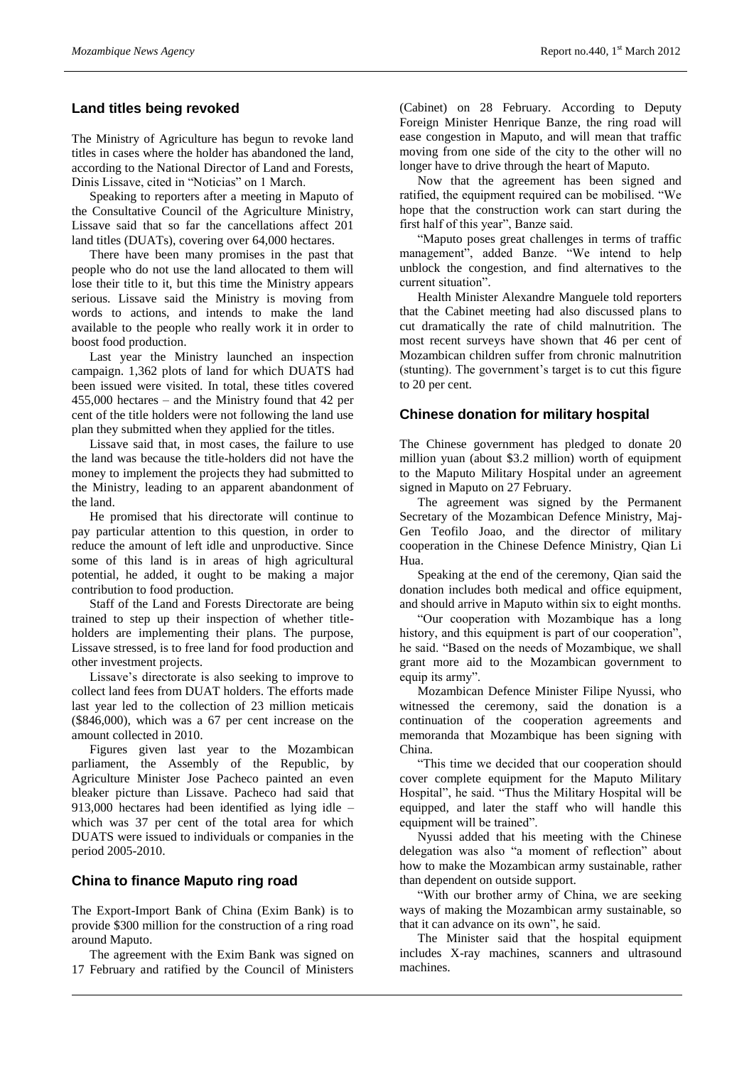#### **Land titles being revoked**

The Ministry of Agriculture has begun to revoke land titles in cases where the holder has abandoned the land, according to the National Director of Land and Forests, Dinis Lissave, cited in "Noticias" on 1 March.

Speaking to reporters after a meeting in Maputo of the Consultative Council of the Agriculture Ministry, Lissave said that so far the cancellations affect 201 land titles (DUATs), covering over 64,000 hectares.

There have been many promises in the past that people who do not use the land allocated to them will lose their title to it, but this time the Ministry appears serious. Lissave said the Ministry is moving from words to actions, and intends to make the land available to the people who really work it in order to boost food production.

Last year the Ministry launched an inspection campaign. 1,362 plots of land for which DUATS had been issued were visited. In total, these titles covered 455,000 hectares – and the Ministry found that 42 per cent of the title holders were not following the land use plan they submitted when they applied for the titles.

Lissave said that, in most cases, the failure to use the land was because the title-holders did not have the money to implement the projects they had submitted to the Ministry, leading to an apparent abandonment of the land.

He promised that his directorate will continue to pay particular attention to this question, in order to reduce the amount of left idle and unproductive. Since some of this land is in areas of high agricultural potential, he added, it ought to be making a major contribution to food production.

Staff of the Land and Forests Directorate are being trained to step up their inspection of whether titleholders are implementing their plans. The purpose, Lissave stressed, is to free land for food production and other investment projects.

Lissave's directorate is also seeking to improve to collect land fees from DUAT holders. The efforts made last year led to the collection of 23 million meticais (\$846,000), which was a 67 per cent increase on the amount collected in 2010.

Figures given last year to the Mozambican parliament, the Assembly of the Republic, by Agriculture Minister Jose Pacheco painted an even bleaker picture than Lissave. Pacheco had said that 913,000 hectares had been identified as lying idle – which was 37 per cent of the total area for which DUATS were issued to individuals or companies in the period 2005-2010.

#### **China to finance Maputo ring road**

The Export-Import Bank of China (Exim Bank) is to provide \$300 million for the construction of a ring road around Maputo.

The agreement with the Exim Bank was signed on 17 February and ratified by the Council of Ministers

(Cabinet) on 28 February. According to Deputy Foreign Minister Henrique Banze, the ring road will ease congestion in Maputo, and will mean that traffic moving from one side of the city to the other will no longer have to drive through the heart of Maputo.

Now that the agreement has been signed and ratified, the equipment required can be mobilised. "We hope that the construction work can start during the first half of this year", Banze said.

"Maputo poses great challenges in terms of traffic management", added Banze. "We intend to help unblock the congestion, and find alternatives to the current situation".

Health Minister Alexandre Manguele told reporters that the Cabinet meeting had also discussed plans to cut dramatically the rate of child malnutrition. The most recent surveys have shown that 46 per cent of Mozambican children suffer from chronic malnutrition (stunting). The government's target is to cut this figure to 20 per cent.

#### **Chinese donation for military hospital**

The Chinese government has pledged to donate 20 million yuan (about \$3.2 million) worth of equipment to the Maputo Military Hospital under an agreement signed in Maputo on 27 February.

The agreement was signed by the Permanent Secretary of the Mozambican Defence Ministry, Maj-Gen Teofilo Joao, and the director of military cooperation in the Chinese Defence Ministry, Qian Li Hua.

Speaking at the end of the ceremony, Qian said the donation includes both medical and office equipment, and should arrive in Maputo within six to eight months.

"Our cooperation with Mozambique has a long history, and this equipment is part of our cooperation", he said. "Based on the needs of Mozambique, we shall grant more aid to the Mozambican government to equip its army".

Mozambican Defence Minister Filipe Nyussi, who witnessed the ceremony, said the donation is a continuation of the cooperation agreements and memoranda that Mozambique has been signing with China.

"This time we decided that our cooperation should cover complete equipment for the Maputo Military Hospital", he said. "Thus the Military Hospital will be equipped, and later the staff who will handle this equipment will be trained".

Nyussi added that his meeting with the Chinese delegation was also "a moment of reflection" about how to make the Mozambican army sustainable, rather than dependent on outside support.

"With our brother army of China, we are seeking ways of making the Mozambican army sustainable, so that it can advance on its own", he said.

The Minister said that the hospital equipment includes X-ray machines, scanners and ultrasound machines.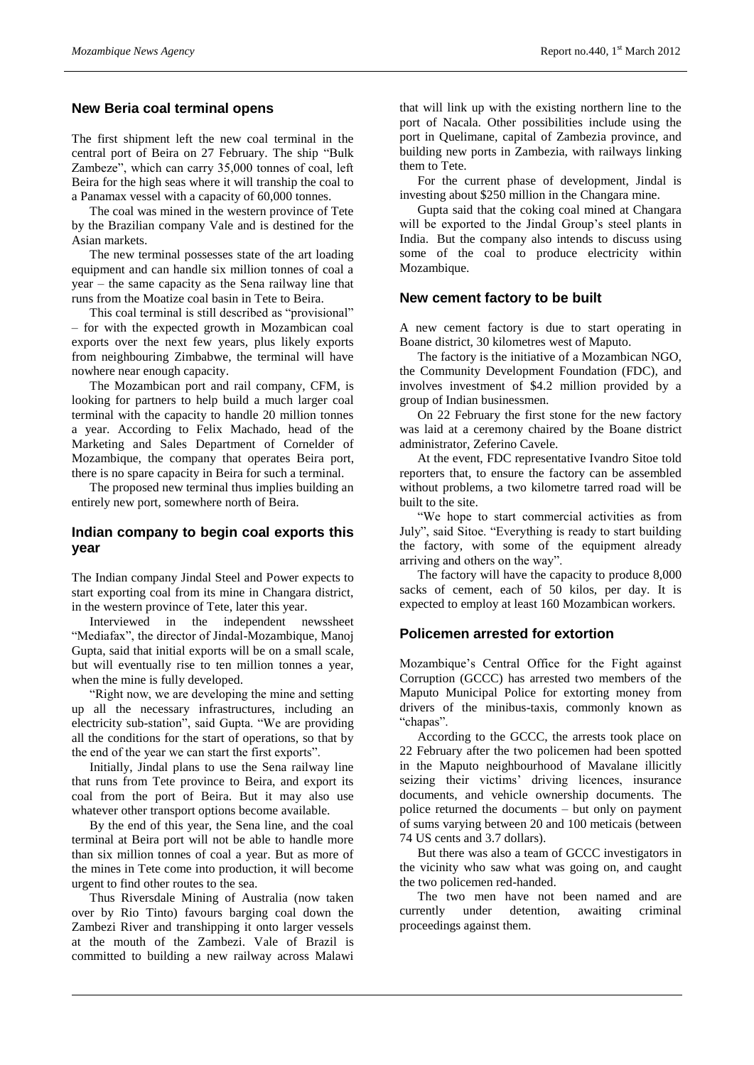#### **New Beria coal terminal opens**

The first shipment left the new coal terminal in the central port of Beira on 27 February. The ship "Bulk Zambeze", which can carry 35,000 tonnes of coal, left Beira for the high seas where it will tranship the coal to a Panamax vessel with a capacity of 60,000 tonnes.

The coal was mined in the western province of Tete by the Brazilian company Vale and is destined for the Asian markets.

The new terminal possesses state of the art loading equipment and can handle six million tonnes of coal a year – the same capacity as the Sena railway line that runs from the Moatize coal basin in Tete to Beira.

This coal terminal is still described as "provisional" – for with the expected growth in Mozambican coal exports over the next few years, plus likely exports from neighbouring Zimbabwe, the terminal will have nowhere near enough capacity.

The Mozambican port and rail company, CFM, is looking for partners to help build a much larger coal terminal with the capacity to handle 20 million tonnes a year. According to Felix Machado, head of the Marketing and Sales Department of Cornelder of Mozambique, the company that operates Beira port, there is no spare capacity in Beira for such a terminal.

The proposed new terminal thus implies building an entirely new port, somewhere north of Beira.

#### **Indian company to begin coal exports this year**

The Indian company Jindal Steel and Power expects to start exporting coal from its mine in Changara district, in the western province of Tete, later this year.

Interviewed in the independent newssheet "Mediafax", the director of Jindal-Mozambique, Manoj Gupta, said that initial exports will be on a small scale, but will eventually rise to ten million tonnes a year, when the mine is fully developed.

"Right now, we are developing the mine and setting up all the necessary infrastructures, including an electricity sub-station", said Gupta. "We are providing all the conditions for the start of operations, so that by the end of the year we can start the first exports".

Initially, Jindal plans to use the Sena railway line that runs from Tete province to Beira, and export its coal from the port of Beira. But it may also use whatever other transport options become available.

By the end of this year, the Sena line, and the coal terminal at Beira port will not be able to handle more than six million tonnes of coal a year. But as more of the mines in Tete come into production, it will become urgent to find other routes to the sea.

Thus Riversdale Mining of Australia (now taken over by Rio Tinto) favours barging coal down the Zambezi River and transhipping it onto larger vessels at the mouth of the Zambezi. Vale of Brazil is committed to building a new railway across Malawi

that will link up with the existing northern line to the port of Nacala. Other possibilities include using the port in Quelimane, capital of Zambezia province, and building new ports in Zambezia, with railways linking them to Tete.

For the current phase of development, Jindal is investing about \$250 million in the Changara mine.

Gupta said that the coking coal mined at Changara will be exported to the Jindal Group's steel plants in India. But the company also intends to discuss using some of the coal to produce electricity within Mozambique.

#### **New cement factory to be built**

A new cement factory is due to start operating in Boane district, 30 kilometres west of Maputo.

The factory is the initiative of a Mozambican NGO, the Community Development Foundation (FDC), and involves investment of \$4.2 million provided by a group of Indian businessmen.

On 22 February the first stone for the new factory was laid at a ceremony chaired by the Boane district administrator, Zeferino Cavele.

At the event, FDC representative Ivandro Sitoe told reporters that, to ensure the factory can be assembled without problems, a two kilometre tarred road will be built to the site.

"We hope to start commercial activities as from July", said Sitoe. "Everything is ready to start building the factory, with some of the equipment already arriving and others on the way".

The factory will have the capacity to produce 8,000 sacks of cement, each of 50 kilos, per day. It is expected to employ at least 160 Mozambican workers.

#### **Policemen arrested for extortion**

Mozambique's Central Office for the Fight against Corruption (GCCC) has arrested two members of the Maputo Municipal Police for extorting money from drivers of the minibus-taxis, commonly known as "chapas".

According to the GCCC, the arrests took place on 22 February after the two policemen had been spotted in the Maputo neighbourhood of Mavalane illicitly seizing their victims' driving licences, insurance documents, and vehicle ownership documents. The police returned the documents – but only on payment of sums varying between 20 and 100 meticais (between 74 US cents and 3.7 dollars).

But there was also a team of GCCC investigators in the vicinity who saw what was going on, and caught the two policemen red-handed.

The two men have not been named and are currently under detention, awaiting criminal proceedings against them.